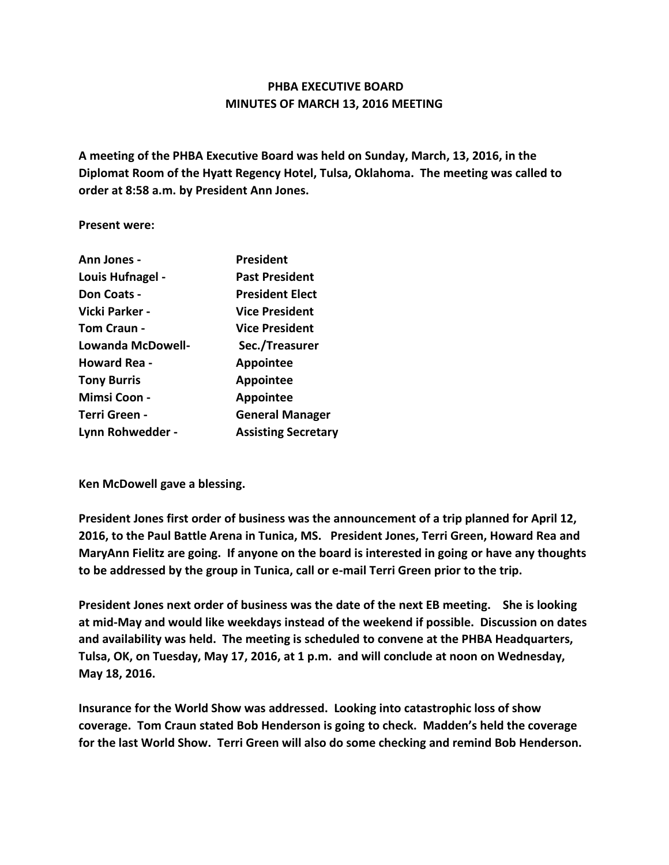## **PHBA EXECUTIVE BOARD MINUTES OF MARCH 13, 2016 MEETING**

**A meeting of the PHBA Executive Board was held on Sunday, March, 13, 2016, in the Diplomat Room of the Hyatt Regency Hotel, Tulsa, Oklahoma. The meeting was called to order at 8:58 a.m. by President Ann Jones.**

**Present were:**

| Ann Jones -         | President                  |
|---------------------|----------------------------|
| Louis Hufnagel -    | <b>Past President</b>      |
| Don Coats -         | <b>President Elect</b>     |
| Vicki Parker -      | <b>Vice President</b>      |
| <b>Tom Craun -</b>  | <b>Vice President</b>      |
| Lowanda McDowell-   | Sec./Treasurer             |
| <b>Howard Rea -</b> | Appointee                  |
| <b>Tony Burris</b>  | Appointee                  |
| <b>Mimsi Coon -</b> | <b>Appointee</b>           |
| Terri Green -       | <b>General Manager</b>     |
| Lynn Rohwedder -    | <b>Assisting Secretary</b> |

**Ken McDowell gave a blessing.**

**President Jones first order of business was the announcement of a trip planned for April 12, 2016, to the Paul Battle Arena in Tunica, MS. President Jones, Terri Green, Howard Rea and MaryAnn Fielitz are going. If anyone on the board is interested in going or have any thoughts to be addressed by the group in Tunica, call or e-mail Terri Green prior to the trip.**

**President Jones next order of business was the date of the next EB meeting. She is looking at mid-May and would like weekdays instead of the weekend if possible. Discussion on dates and availability was held. The meeting is scheduled to convene at the PHBA Headquarters, Tulsa, OK, on Tuesday, May 17, 2016, at 1 p.m. and will conclude at noon on Wednesday, May 18, 2016.**

**Insurance for the World Show was addressed. Looking into catastrophic loss of show coverage. Tom Craun stated Bob Henderson is going to check. Madden's held the coverage for the last World Show. Terri Green will also do some checking and remind Bob Henderson.**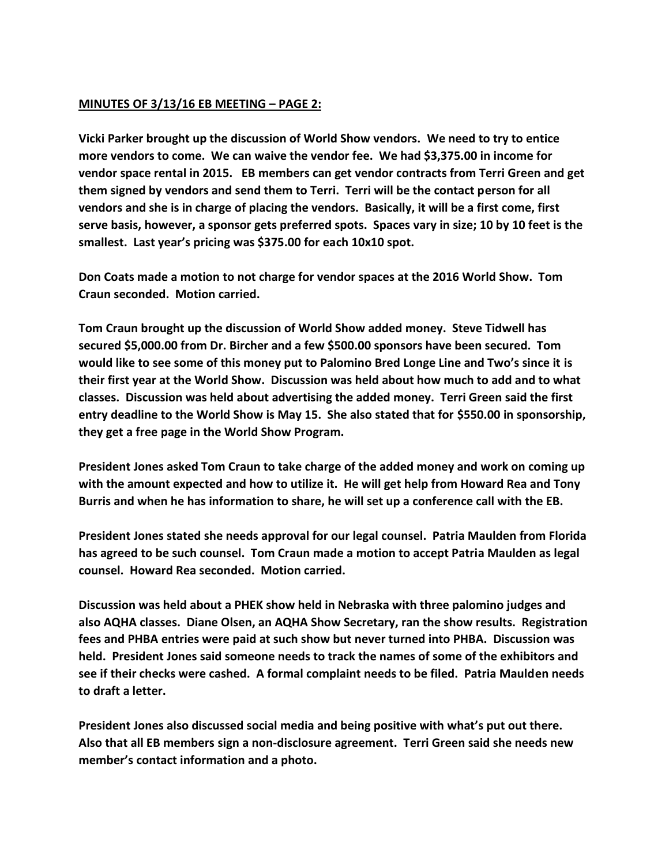## **MINUTES OF 3/13/16 EB MEETING – PAGE 2:**

**Vicki Parker brought up the discussion of World Show vendors. We need to try to entice more vendors to come. We can waive the vendor fee. We had \$3,375.00 in income for vendor space rental in 2015. EB members can get vendor contracts from Terri Green and get them signed by vendors and send them to Terri. Terri will be the contact person for all vendors and she is in charge of placing the vendors. Basically, it will be a first come, first serve basis, however, a sponsor gets preferred spots. Spaces vary in size; 10 by 10 feet is the smallest. Last year's pricing was \$375.00 for each 10x10 spot.** 

**Don Coats made a motion to not charge for vendor spaces at the 2016 World Show. Tom Craun seconded. Motion carried.**

**Tom Craun brought up the discussion of World Show added money. Steve Tidwell has secured \$5,000.00 from Dr. Bircher and a few \$500.00 sponsors have been secured. Tom would like to see some of this money put to Palomino Bred Longe Line and Two's since it is their first year at the World Show. Discussion was held about how much to add and to what classes. Discussion was held about advertising the added money. Terri Green said the first entry deadline to the World Show is May 15. She also stated that for \$550.00 in sponsorship, they get a free page in the World Show Program.** 

**President Jones asked Tom Craun to take charge of the added money and work on coming up with the amount expected and how to utilize it. He will get help from Howard Rea and Tony Burris and when he has information to share, he will set up a conference call with the EB.**

**President Jones stated she needs approval for our legal counsel. Patria Maulden from Florida has agreed to be such counsel. Tom Craun made a motion to accept Patria Maulden as legal counsel. Howard Rea seconded. Motion carried.**

**Discussion was held about a PHEK show held in Nebraska with three palomino judges and also AQHA classes. Diane Olsen, an AQHA Show Secretary, ran the show results. Registration fees and PHBA entries were paid at such show but never turned into PHBA. Discussion was held. President Jones said someone needs to track the names of some of the exhibitors and see if their checks were cashed. A formal complaint needs to be filed. Patria Maulden needs to draft a letter.**

**President Jones also discussed social media and being positive with what's put out there. Also that all EB members sign a non-disclosure agreement. Terri Green said she needs new member's contact information and a photo.**